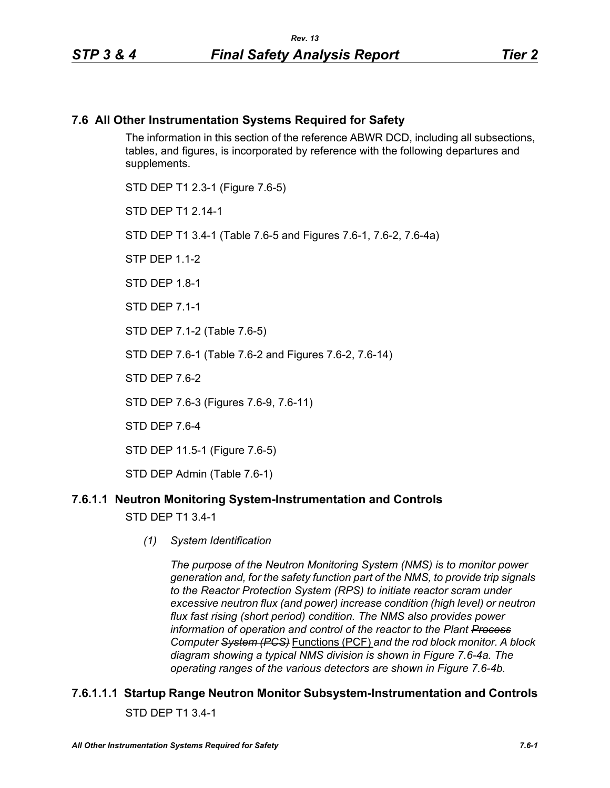# **7.6 All Other Instrumentation Systems Required for Safety**

The information in this section of the reference ABWR DCD, including all subsections, tables, and figures, is incorporated by reference with the following departures and supplements.

STD DEP T1 2.3-1 (Figure 7.6-5) STD DFP T1 2 14-1 STD DEP T1 3.4-1 (Table 7.6-5 and Figures 7.6-1, 7.6-2, 7.6-4a)  $STP$  DFP 11-2 STD DFP 18-1 STD DEP 7.1-1 STD DEP 7.1-2 (Table 7.6-5) STD DEP 7.6-1 (Table 7.6-2 and Figures 7.6-2, 7.6-14) STD DEP 7.6-2 STD DEP 7.6-3 (Figures 7.6-9, 7.6-11) STD DEP 7.6-4

STD DEP 11.5-1 (Figure 7.6-5)

STD DEP Admin (Table 7.6-1)

# **7.6.1.1 Neutron Monitoring System-Instrumentation and Controls**

STD DEP T1 3.4-1

*(1) System Identification*

*The purpose of the Neutron Monitoring System (NMS) is to monitor power generation and, for the safety function part of the NMS, to provide trip signals to the Reactor Protection System (RPS) to initiate reactor scram under excessive neutron flux (and power) increase condition (high level) or neutron flux fast rising (short period) condition. The NMS also provides power information of operation and control of the reactor to the Plant Process Computer System (PCS)* Functions (PCF) *and the rod block monitor. A block diagram showing a typical NMS division is shown in Figure 7.6-4a. The operating ranges of the various detectors are shown in Figure 7.6-4b.*

# **7.6.1.1.1 Startup Range Neutron Monitor Subsystem-Instrumentation and Controls** STD DEP T1 3.4-1

*All Other Instrumentation Systems Required for Safety 7.6-1*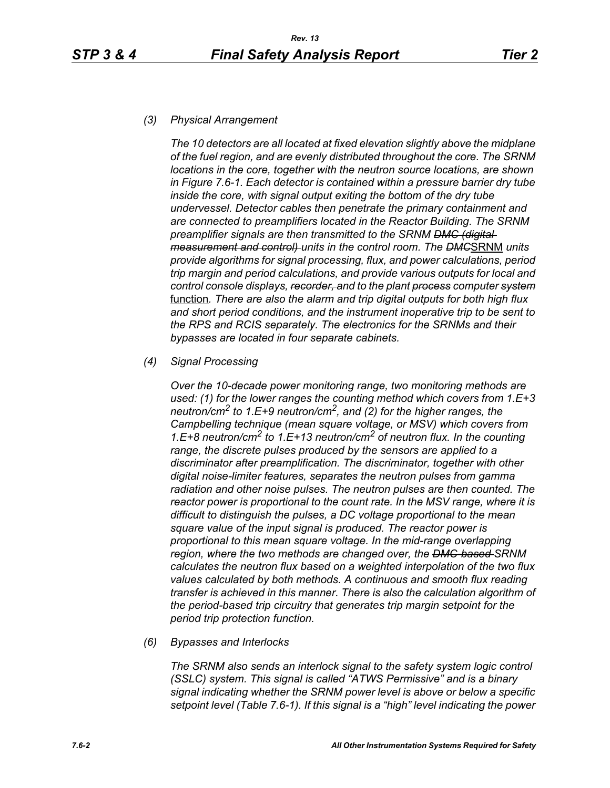#### *(3) Physical Arrangement*

*The 10 detectors are all located at fixed elevation slightly above the midplane of the fuel region, and are evenly distributed throughout the core. The SRNM locations in the core, together with the neutron source locations, are shown in Figure 7.6-1. Each detector is contained within a pressure barrier dry tube inside the core, with signal output exiting the bottom of the dry tube undervessel. Detector cables then penetrate the primary containment and are connected to preamplifiers located in the Reactor Building. The SRNM preamplifier signals are then transmitted to the SRNM DMC (digital measurement and control) units in the control room. The DMC*SRNM *units provide algorithms for signal processing, flux, and power calculations, period trip margin and period calculations, and provide various outputs for local and control console displays, recorder, and to the plant process computer system* function*. There are also the alarm and trip digital outputs for both high flux and short period conditions, and the instrument inoperative trip to be sent to the RPS and RCIS separately. The electronics for the SRNMs and their bypasses are located in four separate cabinets.*

#### *(4) Signal Processing*

*Over the 10-decade power monitoring range, two monitoring methods are used: (1) for the lower ranges the counting method which covers from 1.E+3 neutron/cm2 to 1.E+9 neutron/cm2, and (2) for the higher ranges, the Campbelling technique (mean square voltage, or MSV) which covers from 1.E+8 neutron/cm2 to 1.E+13 neutron/cm2 of neutron flux. In the counting range, the discrete pulses produced by the sensors are applied to a discriminator after preamplification. The discriminator, together with other digital noise-limiter features, separates the neutron pulses from gamma radiation and other noise pulses. The neutron pulses are then counted. The reactor power is proportional to the count rate. In the MSV range, where it is difficult to distinguish the pulses, a DC voltage proportional to the mean square value of the input signal is produced. The reactor power is proportional to this mean square voltage. In the mid-range overlapping region, where the two methods are changed over, the DMC-based SRNM calculates the neutron flux based on a weighted interpolation of the two flux values calculated by both methods. A continuous and smooth flux reading transfer is achieved in this manner. There is also the calculation algorithm of the period-based trip circuitry that generates trip margin setpoint for the period trip protection function.*

#### *(6) Bypasses and Interlocks*

*The SRNM also sends an interlock signal to the safety system logic control (SSLC) system. This signal is called "ATWS Permissive" and is a binary signal indicating whether the SRNM power level is above or below a specific setpoint level (Table 7.6-1). If this signal is a "high" level indicating the power*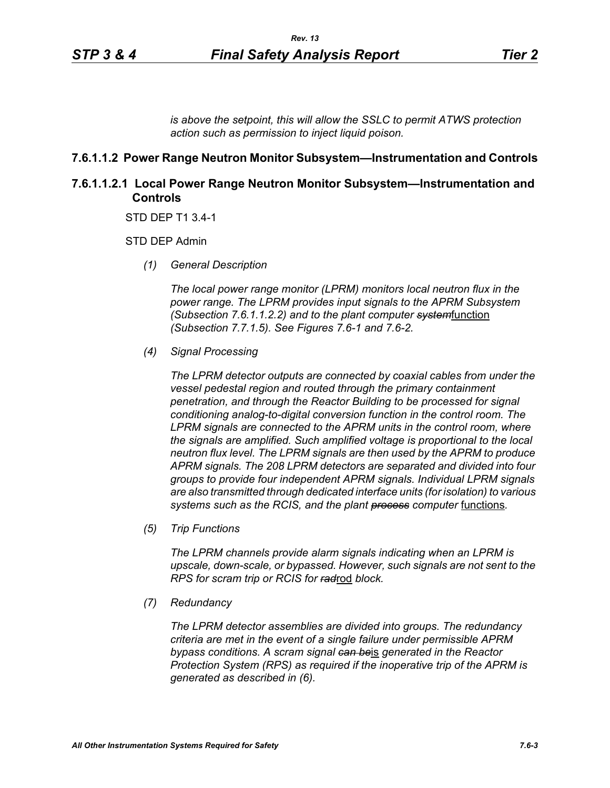*is above the setpoint, this will allow the SSLC to permit ATWS protection action such as permission to inject liquid poison.*

#### **7.6.1.1.2 Power Range Neutron Monitor Subsystem—Instrumentation and Controls**

# **7.6.1.1.2.1 Local Power Range Neutron Monitor Subsystem—Instrumentation and Controls**

STD DEP T1 3.4-1

STD DEP Admin

*(1) General Description*

*The local power range monitor (LPRM) monitors local neutron flux in the power range. The LPRM provides input signals to the APRM Subsystem (Subsection 7.6.1.1.2.2) and to the plant computer system*function *(Subsection 7.7.1.5). See Figures 7.6-1 and 7.6-2.*

*(4) Signal Processing*

*The LPRM detector outputs are connected by coaxial cables from under the vessel pedestal region and routed through the primary containment penetration, and through the Reactor Building to be processed for signal conditioning analog-to-digital conversion function in the control room. The LPRM signals are connected to the APRM units in the control room, where the signals are amplified. Such amplified voltage is proportional to the local neutron flux level. The LPRM signals are then used by the APRM to produce APRM signals. The 208 LPRM detectors are separated and divided into four groups to provide four independent APRM signals. Individual LPRM signals are also transmitted through dedicated interface units (for isolation) to various*  systems such as the RCIS, and the plant **process** computer functions.

*(5) Trip Functions*

*The LPRM channels provide alarm signals indicating when an LPRM is upscale, down-scale, or bypassed. However, such signals are not sent to the RPS for scram trip or RCIS for rad*rod *block.*

*(7) Redundancy*

*The LPRM detector assemblies are divided into groups. The redundancy criteria are met in the event of a single failure under permissible APRM bypass conditions. A scram signal can be*is *generated in the Reactor Protection System (RPS) as required if the inoperative trip of the APRM is generated as described in (6).*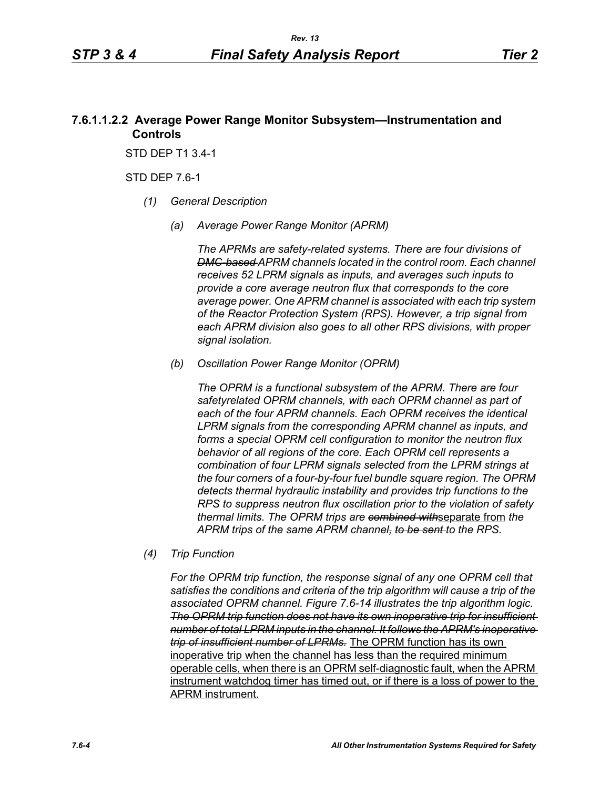# **7.6.1.1.2.2 Average Power Range Monitor Subsystem—Instrumentation and Controls**

STD DEP T1 3.4-1

STD DEP 7.6-1

- *(1) General Description*
	- *(a) Average Power Range Monitor (APRM)*

*The APRMs are safety-related systems. There are four divisions of DMC-based APRM channels located in the control room. Each channel receives 52 LPRM signals as inputs, and averages such inputs to provide a core average neutron flux that corresponds to the core average power. One APRM channel is associated with each trip system of the Reactor Protection System (RPS). However, a trip signal from each APRM division also goes to all other RPS divisions, with proper signal isolation.*

*(b) Oscillation Power Range Monitor (OPRM)*

*The OPRM is a functional subsystem of the APRM. There are four safetyrelated OPRM channels, with each OPRM channel as part of each of the four APRM channels. Each OPRM receives the identical LPRM signals from the corresponding APRM channel as inputs, and forms a special OPRM cell configuration to monitor the neutron flux behavior of all regions of the core. Each OPRM cell represents a combination of four LPRM signals selected from the LPRM strings at the four corners of a four-by-four fuel bundle square region. The OPRM detects thermal hydraulic instability and provides trip functions to the RPS to suppress neutron flux oscillation prior to the violation of safety thermal limits. The OPRM trips are combined with*separate from *the APRM trips of the same APRM channel, to be sent to the RPS.*

*(4) Trip Function*

*For the OPRM trip function, the response signal of any one OPRM cell that satisfies the conditions and criteria of the trip algorithm will cause a trip of the associated OPRM channel. Figure 7.6-14 illustrates the trip algorithm logic. The OPRM trip function does not have its own inoperative trip for insufficient number of total LPRM inputs in the channel. It follows the APRM's inoperative trip of insufficient number of LPRMs.* The OPRM function has its own inoperative trip when the channel has less than the required minimum operable cells, when there is an OPRM self-diagnostic fault, when the APRM instrument watchdog timer has timed out, or if there is a loss of power to the APRM instrument.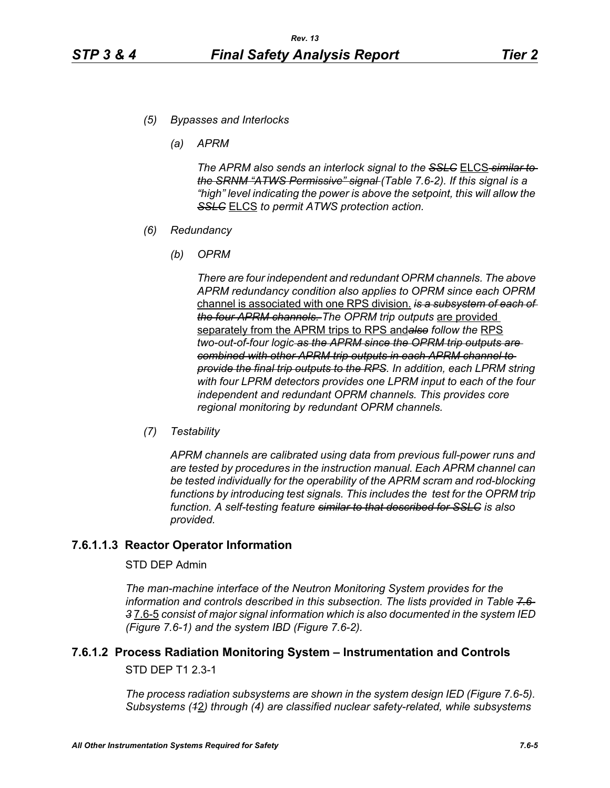- *(5) Bypasses and Interlocks*
	- *(a) APRM*

*The APRM also sends an interlock signal to the SSLC* ELCS *similar to the SRNM "ATWS Permissive" signal (Table 7.6-2). If this signal is a "high" level indicating the power is above the setpoint, this will allow the SSLC* ELCS *to permit ATWS protection action.*

- *(6) Redundancy*
	- *(b) OPRM*

*There are four independent and redundant OPRM channels. The above APRM redundancy condition also applies to OPRM since each OPRM*  channel is associated with one RPS division. *is a subsystem of each of the four APRM channels. The OPRM trip outputs* are provided separately from the APRM trips to RPS and*also follow the* RPS *two-out-of-four logic as the APRM since the OPRM trip outputs are combined with other APRM trip outputs in each APRM channel to provide the final trip outputs to the RPS. In addition, each LPRM string with four LPRM detectors provides one LPRM input to each of the four independent and redundant OPRM channels. This provides core regional monitoring by redundant OPRM channels.*

*(7) Testability*

*APRM channels are calibrated using data from previous full-power runs and are tested by procedures in the instruction manual. Each APRM channel can be tested individually for the operability of the APRM scram and rod-blocking*  functions by introducing test signals. This includes the test for the OPRM trip *function. A self-testing feature similar to that described for SSLC is also provided.*

#### **7.6.1.1.3 Reactor Operator Information**

#### STD DEP Admin

*The man-machine interface of the Neutron Monitoring System provides for the information and controls described in this subsection. The lists provided in Table 7.6- 3* 7.6-5 *consist of major signal information which is also documented in the system IED (Figure 7.6-1) and the system IBD (Figure 7.6-2).*

# **7.6.1.2 Process Radiation Monitoring System – Instrumentation and Controls**

STD DEP T1 2.3-1

*The process radiation subsystems are shown in the system design IED (Figure 7.6-5). Subsystems (1*2*) through (4) are classified nuclear safety-related, while subsystems*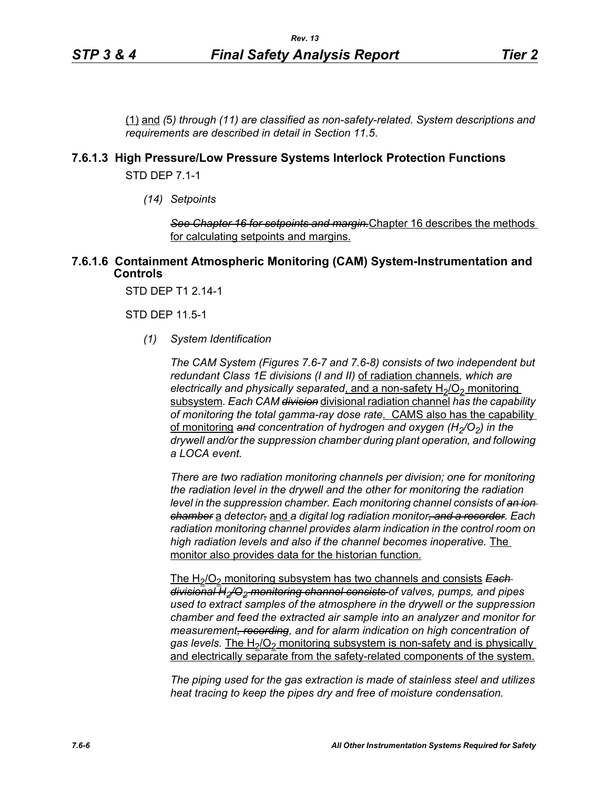(1) and *(*5*) through (11) are classified as non-safety-related. System descriptions and requirements are described in detail in Section 11.5*.

#### **7.6.1.3 High Pressure/Low Pressure Systems Interlock Protection Functions**

STD DEP 7.1-1

*(14) Setpoints*

*See Chapter 16 for setpoints and margin.*Chapter 16 describes the methods for calculating setpoints and margins.

#### **7.6.1.6 Containment Atmospheric Monitoring (CAM) System-Instrumentation and Controls**

STD DEP T1 2.14-1

STD DEP 11.5-1

*(1) System Identification*

*The CAM System (Figures 7.6-7 and 7.6-8) consists of two independent but redundant Class 1E divisions (I and II)* of radiation channels*, which are electrically and physically separated, and a non-safety H<sub>2</sub>/O<sub>2</sub> monitoring* subsystem*. Each CAM division* divisional radiation channel *has the capability of monitoring the total gamma-ray dose rate*. CAMS also has the capability of monitoring and concentration of hydrogen and oxygen (H<sub>2</sub>/O<sub>2</sub>) in the *drywell and/or the suppression chamber during plant operation, and following a LOCA event.* 

*There are two radiation monitoring channels per division; one for monitoring the radiation level in the drywell and the other for monitoring the radiation level in the suppression chamber. Each monitoring channel consists of an ion chamber* a *detector,* and *a digital log radiation monitor, and a recorder. Each radiation monitoring channel provides alarm indication in the control room on high radiation levels and also if the channel becomes inoperative.* The monitor also provides data for the historian function.

The H<sub>2</sub>/O<sub>2</sub> monitoring subsystem has two channels and consists **Each** *divisional H2/O2 monitoring channel consists of valves, pumps, and pipes used to extract samples of the atmosphere in the drywell or the suppression chamber and feed the extracted air sample into an analyzer and monitor for measurement, recording, and for alarm indication on high concentration of*  gas levels. The H<sub>2</sub>/O<sub>2</sub> monitoring subsystem is non-safety and is physically and electrically separate from the safety-related components of the system.

*The piping used for the gas extraction is made of stainless steel and utilizes heat tracing to keep the pipes dry and free of moisture condensation.*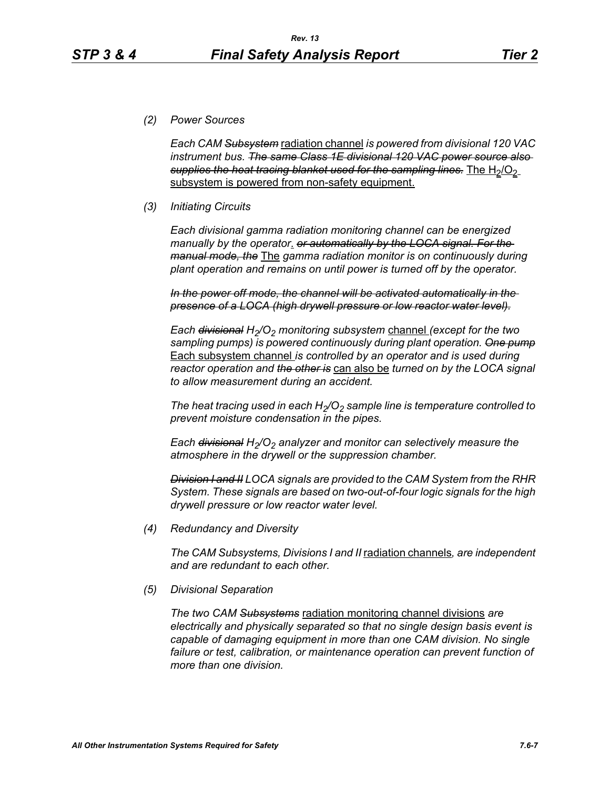*(2) Power Sources*

*Each CAM Subsystem* radiation channel *is powered from divisional 120 VAC instrument bus. The same Class 1E divisional 120 VAC power source also*  supplies the heat tracing blanket used for the sampling lines. The H<sub>2</sub>/O<sub>2</sub> subsystem is powered from non-safety equipment.

#### *(3) Initiating Circuits*

*Each divisional gamma radiation monitoring channel can be energized manually by the operator*. *or automatically by the LOCA signal. For the manual mode, the* The *gamma radiation monitor is on continuously during plant operation and remains on until power is turned off by the operator.*

*In the power off mode, the channel will be activated automatically in the presence of a LOCA (high drywell pressure or low reactor water level).*

*Each <del>divisional</del> H<sub>2</sub>/O<sub>2</sub> monitoring subsystem channel (except for the two sampling pumps) is powered continuously during plant operation. One pump* Each subsystem channel *is controlled by an operator and is used during reactor operation and the other is* can also be *turned on by the LOCA signal to allow measurement during an accident.*

The heat tracing used in each  $H_2/O_2$  sample line is temperature controlled to *prevent moisture condensation in the pipes.* 

*Each <del>divisional</del> H<sub>2</sub>/O<sub>2</sub> analyzer and monitor can selectively measure the atmosphere in the drywell or the suppression chamber.*

*Division I and II LOCA signals are provided to the CAM System from the RHR System. These signals are based on two-out-of-four logic signals for the high drywell pressure or low reactor water level.*

*(4) Redundancy and Diversity*

*The CAM Subsystems, Divisions I and II* radiation channels*, are independent and are redundant to each other.*

*(5) Divisional Separation*

*The two CAM Subsystems* radiation monitoring channel divisions *are electrically and physically separated so that no single design basis event is capable of damaging equipment in more than one CAM division. No single*  failure or test, calibration, or maintenance operation can prevent function of *more than one division.*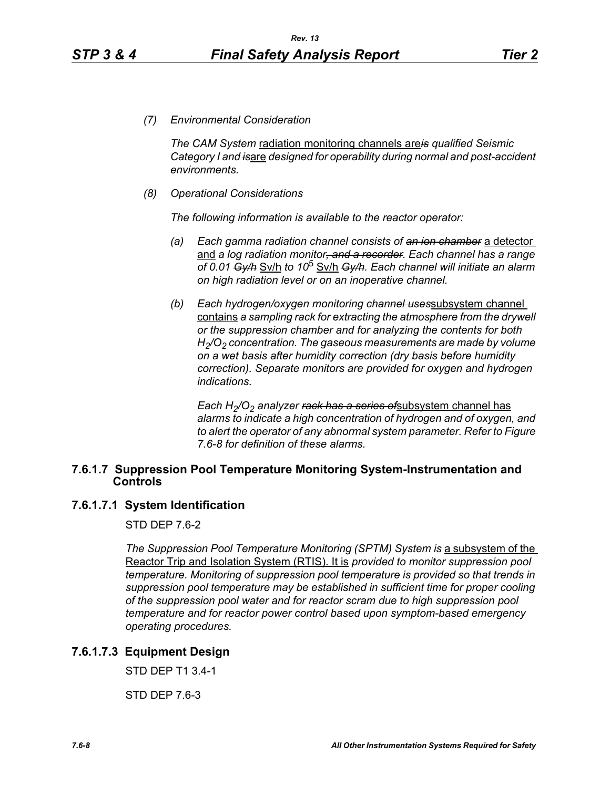*(7) Environmental Consideration*

*The CAM System* radiation monitoring channels are*is qualified Seismic Category I and is*are *designed for operability during normal and post-accident environments.*

*(8) Operational Considerations*

*The following information is available to the reactor operator:*

- *(a) Each gamma radiation channel consists of an ion chamber* a detector and *a log radiation monitor, and a recorder. Each channel has a range of 0.01 Gy/h* Sv/h *to 10*5 Sv/h *Gy/h. Each channel will initiate an alarm on high radiation level or on an inoperative channel.*
- *(b) Each hydrogen/oxygen monitoring channel uses*subsystem channel contains *a sampling rack for extracting the atmosphere from the drywell or the suppression chamber and for analyzing the contents for both H2/O2 concentration. The gaseous measurements are made by volume on a wet basis after humidity correction (dry basis before humidity correction). Separate monitors are provided for oxygen and hydrogen indications.*

*Each H<sub>2</sub>/O<sub>2</sub> analyzer <del>rack has a series of</del>subsystem channel has alarms to indicate a high concentration of hydrogen and of oxygen, and to alert the operator of any abnormal system parameter. Refer to Figure 7.6-8 for definition of these alarms.*

#### **7.6.1.7 Suppression Pool Temperature Monitoring System-Instrumentation and Controls**

#### **7.6.1.7.1 System Identification**

STD DEP 7.6-2

*The Suppression Pool Temperature Monitoring (SPTM) System is* a subsystem of the Reactor Trip and Isolation System (RTIS). It is *provided to monitor suppression pool temperature. Monitoring of suppression pool temperature is provided so that trends in suppression pool temperature may be established in sufficient time for proper cooling of the suppression pool water and for reactor scram due to high suppression pool temperature and for reactor power control based upon symptom-based emergency operating procedures.*

# **7.6.1.7.3 Equipment Design**

STD DEP T1 3.4-1

STD DEP 7.6-3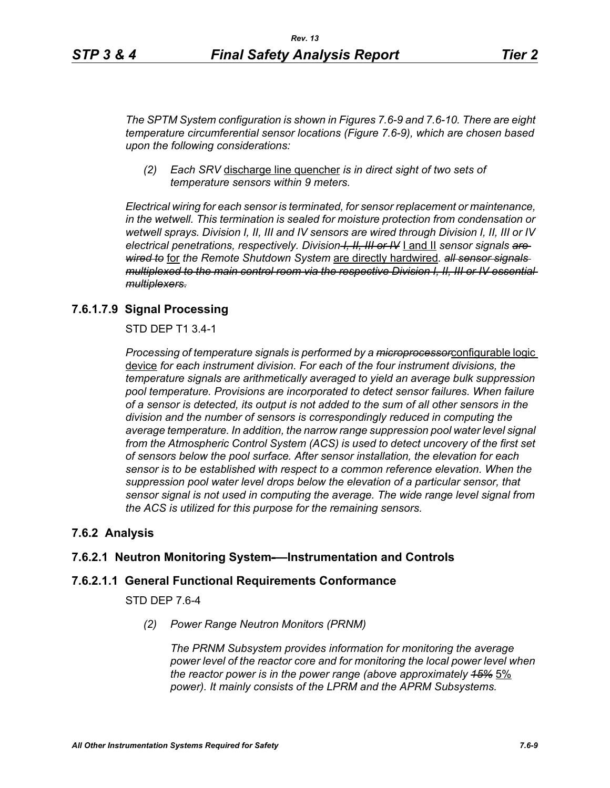*The SPTM System configuration is shown in Figures 7.6-9 and 7.6-10. There are eight temperature circumferential sensor locations (Figure 7.6-9), which are chosen based upon the following considerations:*

*(2) Each SRV* discharge line quencher *is in direct sight of two sets of temperature sensors within 9 meters.*

*Electrical wiring for each sensor is terminated, for sensor replacement or maintenance, in the wetwell. This termination is sealed for moisture protection from condensation or wetwell sprays. Division I, II, III and IV sensors are wired through Division I, II, III or IV electrical penetrations, respectively. Division I, II, III or IV* I and II *sensor signals are wired to* for *the Remote Shutdown System* are directly hardwired*. all sensor signals multiplexed to the main control room via the respective Division I, II, III or IV essential multiplexers.*

# **7.6.1.7.9 Signal Processing**

STD DEP T1 3.4-1

*Processing of temperature signals is performed by a microprocessor*configurable logic device *for each instrument division. For each of the four instrument divisions, the temperature signals are arithmetically averaged to yield an average bulk suppression pool temperature. Provisions are incorporated to detect sensor failures. When failure of a sensor is detected, its output is not added to the sum of all other sensors in the division and the number of sensors is correspondingly reduced in computing the average temperature. In addition, the narrow range suppression pool water level signal*  from the Atmospheric Control System (ACS) is used to detect uncovery of the first set *of sensors below the pool surface. After sensor installation, the elevation for each sensor is to be established with respect to a common reference elevation. When the suppression pool water level drops below the elevation of a particular sensor, that sensor signal is not used in computing the average. The wide range level signal from the ACS is utilized for this purpose for the remaining sensors.*

# **7.6.2 Analysis**

# **7.6.2.1 Neutron Monitoring System-—Instrumentation and Controls**

# **7.6.2.1.1 General Functional Requirements Conformance**

STD DEP 7.6-4

*(2) Power Range Neutron Monitors (PRNM)*

*The PRNM Subsystem provides information for monitoring the average power level of the reactor core and for monitoring the local power level when the reactor power is in the power range (above approximately 15%* 5% *power). It mainly consists of the LPRM and the APRM Subsystems.*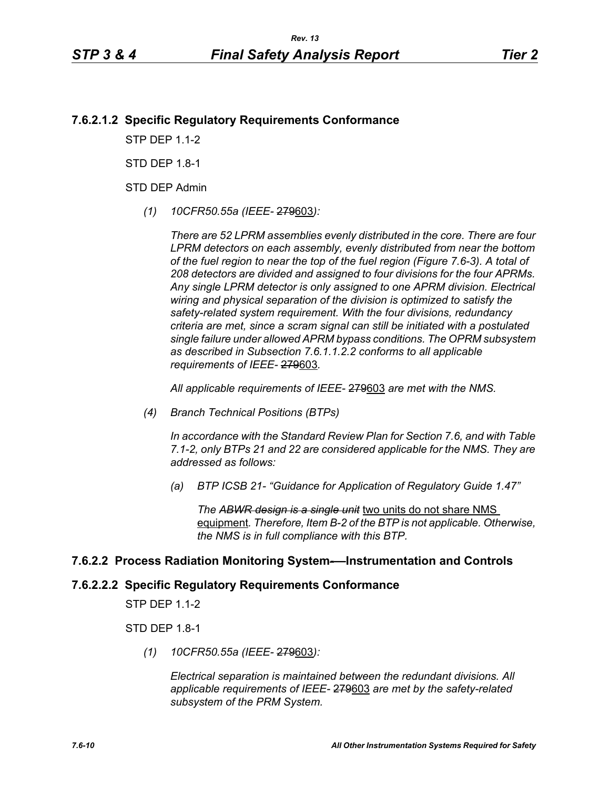# **7.6.2.1.2 Specific Regulatory Requirements Conformance**

**STP DFP 1 1-2** 

STD DFP 18-1

STD DEP Admin

*(1) 10CFR50.55a (IEEE-* 279603*):*

*There are 52 LPRM assemblies evenly distributed in the core. There are four LPRM detectors on each assembly, evenly distributed from near the bottom of the fuel region to near the top of the fuel region (Figure 7.6-3). A total of 208 detectors are divided and assigned to four divisions for the four APRMs. Any single LPRM detector is only assigned to one APRM division. Electrical wiring and physical separation of the division is optimized to satisfy the safety-related system requirement. With the four divisions, redundancy criteria are met, since a scram signal can still be initiated with a postulated single failure under allowed APRM bypass conditions. The OPRM subsystem as described in Subsection 7.6.1.1.2.2 conforms to all applicable requirements of IEEE-* 279603*.*

*All applicable requirements of IEEE-* 279603 *are met with the NMS.*

*(4) Branch Technical Positions (BTPs)* 

*In accordance with the Standard Review Plan for Section 7.6, and with Table 7.1-2, only BTPs 21 and 22 are considered applicable for the NMS. They are addressed as follows:* 

*(a) BTP ICSB 21- "Guidance for Application of Regulatory Guide 1.47"* 

*The ABWR design is a single unit* two units do not share NMS equipment*. Therefore, Item B-2 of the BTP is not applicable. Otherwise, the NMS is in full compliance with this BTP.* 

# **7.6.2.2 Process Radiation Monitoring System-—Instrumentation and Controls**

# **7.6.2.2.2 Specific Regulatory Requirements Conformance**

STP DEP 1.1-2

STD DEP 1.8-1

*(1) 10CFR50.55a (IEEE-* 279603*):*

*Electrical separation is maintained between the redundant divisions. All applicable requirements of IEEE-* 279603 *are met by the safety-related subsystem of the PRM System.*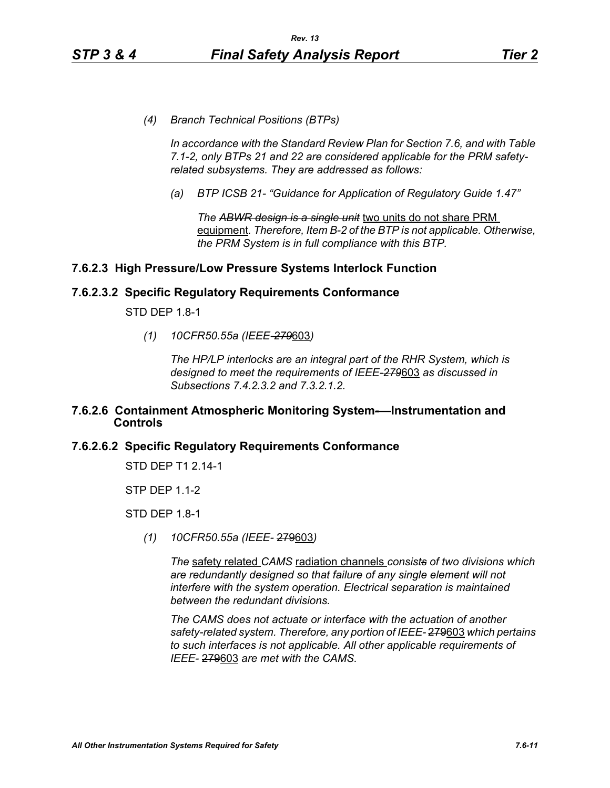*(4) Branch Technical Positions (BTPs)* 

*In accordance with the Standard Review Plan for Section 7.6, and with Table 7.1-2, only BTPs 21 and 22 are considered applicable for the PRM safetyrelated subsystems. They are addressed as follows:* 

*(a) BTP ICSB 21- "Guidance for Application of Regulatory Guide 1.47"*

*The ABWR design is a single unit* two units do not share PRM equipment*. Therefore, Item B-2 of the BTP is not applicable. Otherwise, the PRM System is in full compliance with this BTP.* 

# **7.6.2.3 High Pressure/Low Pressure Systems Interlock Function**

#### **7.6.2.3.2 Specific Regulatory Requirements Conformance**

STD DEP 1.8-1

*(1) 10CFR50.55a (IEEE-279*603*)*

*The HP/LP interlocks are an integral part of the RHR System, which is designed to meet the requirements of IEEE-279*603 *as discussed in Subsections 7.4.2.3.2 and 7.3.2.1.2.*

#### **7.6.2.6 Containment Atmospheric Monitoring System-—Instrumentation and Controls**

# **7.6.2.6.2 Specific Regulatory Requirements Conformance**

STD DEP T1 2.14-1

STP DEP 1.1-2

STD DEP 1.8-1

*(1) 10CFR50.55a (IEEE-* 279603*)*

*The* safety related *CAMS* radiation channels *consists of two divisions which are redundantly designed so that failure of any single element will not interfere with the system operation. Electrical separation is maintained between the redundant divisions.*

*The CAMS does not actuate or interface with the actuation of another safety-related system. Therefore, any portion of IEEE-* 279603 *which pertains to such interfaces is not applicable. All other applicable requirements of IEEE-* 279603 *are met with the CAMS.*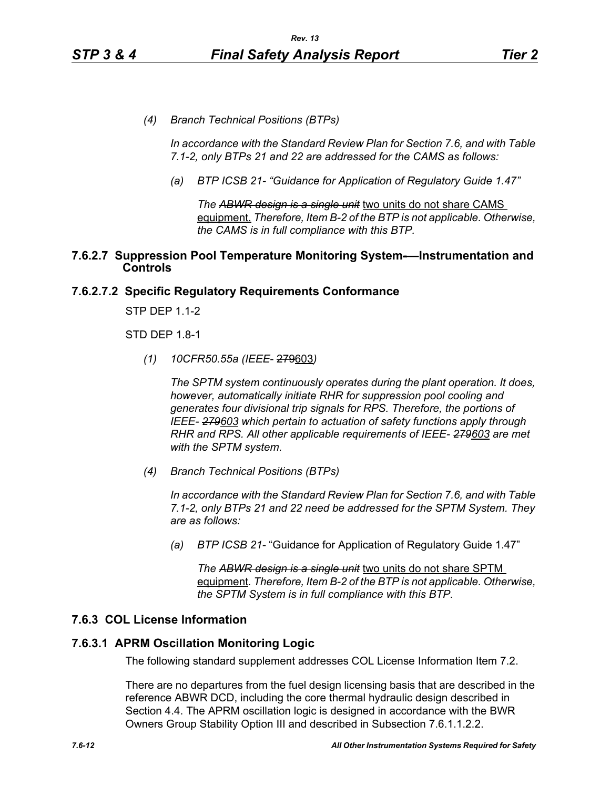*(4) Branch Technical Positions (BTPs)* 

*In accordance with the Standard Review Plan for Section 7.6, and with Table 7.1-2, only BTPs 21 and 22 are addressed for the CAMS as follows:* 

*(a) BTP ICSB 21- "Guidance for Application of Regulatory Guide 1.47"*

*The ABWR design is a single unit* two units do not share CAMS equipment. *Therefore, Item B-2 of the BTP is not applicable. Otherwise, the CAMS is in full compliance with this BTP.* 

#### **7.6.2.7 Suppression Pool Temperature Monitoring System-—Instrumentation and Controls**

# **7.6.2.7.2 Specific Regulatory Requirements Conformance**

STP DEP 1.1-2

STD DEP 1.8-1

*(1) 10CFR50.55a (IEEE*- 279603*)*

*The SPTM system continuously operates during the plant operation. It does, however, automatically initiate RHR for suppression pool cooling and generates four divisional trip signals for RPS. Therefore, the portions of IEEE- 279603 which pertain to actuation of safety functions apply through RHR and RPS. All other applicable requirements of IEEE- 279603 are met with the SPTM system.*

*(4) Branch Technical Positions (BTPs)*

*In accordance with the Standard Review Plan for Section 7.6, and with Table 7.1-2, only BTPs 21 and 22 need be addressed for the SPTM System. They are as follows:*

*(a) BTP ICSB 21-* "Guidance for Application of Regulatory Guide 1.47"

*The ABWR design is a single unit* two units do not share SPTM equipment*. Therefore, Item B-2 of the BTP is not applicable. Otherwise, the SPTM System is in full compliance with this BTP.*

# **7.6.3 COL License Information**

# **7.6.3.1 APRM Oscillation Monitoring Logic**

The following standard supplement addresses COL License Information Item 7.2.

There are no departures from the fuel design licensing basis that are described in the reference ABWR DCD, including the core thermal hydraulic design described in Section 4.4. The APRM oscillation logic is designed in accordance with the BWR Owners Group Stability Option III and described in Subsection 7.6.1.1.2.2.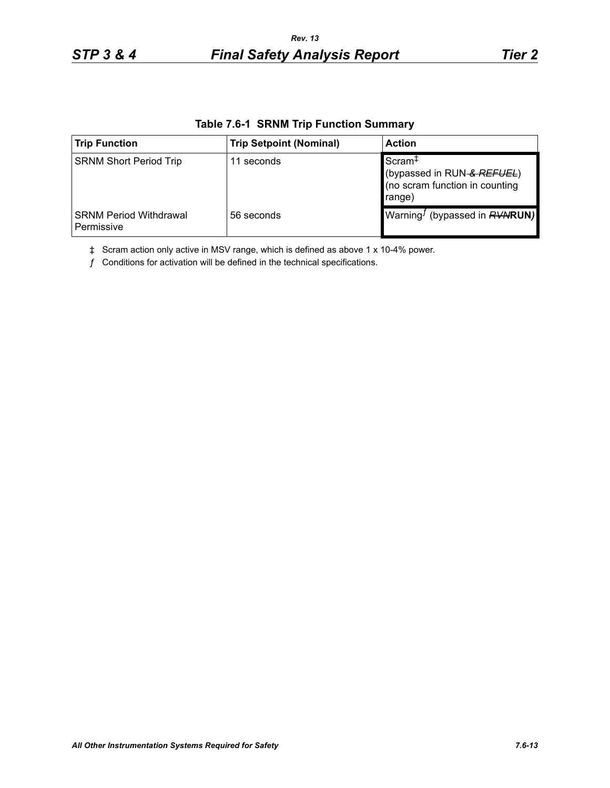| <b>Trip Function</b>                        | <b>Trip Setpoint (Nominal)</b> | <b>Action</b>                                                                                |
|---------------------------------------------|--------------------------------|----------------------------------------------------------------------------------------------|
| <b>SRNM Short Period Trip</b>               | 11 seconds                     | Scram <sup>+</sup><br>(bypassed in RUN-& REFUEL)<br>(no scram function in counting<br>range) |
| <b>SRNM Period Withdrawal</b><br>Permissive | 56 seconds                     | Warning <sup><i>I</i></sup> (bypassed in $RVWRUN$ )                                          |

#### **Table 7.6-1 SRNM Trip Function Summary**

‡ Scram action only active in MSV range, which is defined as above 1 x 10-4% power.

 $f$  Conditions for activation will be defined in the technical specifications.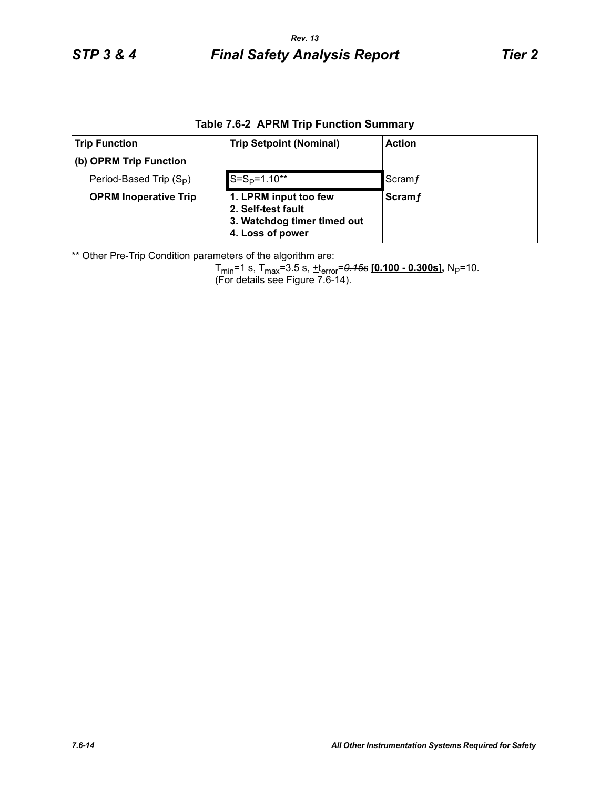| <b>Trip Function</b>                | <b>Trip Setpoint (Nominal)</b>                                                                 | <b>Action</b> |
|-------------------------------------|------------------------------------------------------------------------------------------------|---------------|
| (b) OPRM Trip Function              |                                                                                                |               |
| Period-Based Trip (S <sub>P</sub> ) | $S = SP=1.10**$                                                                                | Scram f       |
| <b>OPRM Inoperative Trip</b>        | 1. LPRM input too few<br>2. Self-test fault<br>3. Watchdog timer timed out<br>4. Loss of power | <b>Scramf</b> |

\*\* Other Pre-Trip Condition parameters of the algorithm are:

Tmin=1 s, Tmax=3.5 s, +terror=*0.15s* **[0.100 - 0.300s],** NP=10. (For details see Figure 7.6-14).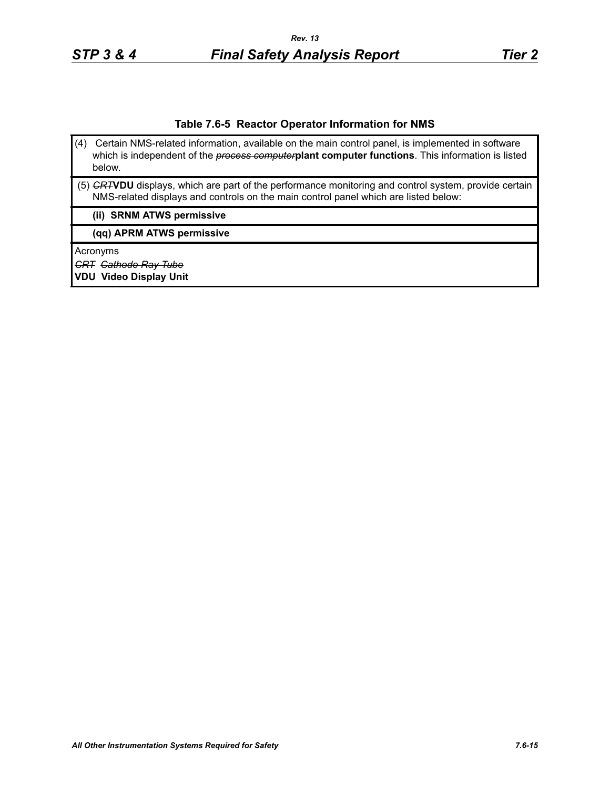#### **Table 7.6-5 Reactor Operator Information for NMS**

- (4) Certain NMS-related information, available on the main control panel, is implemented in software which is independent of the *process computer***plant computer functions**. This information is listed below.
- (5) *CRT***VDU** displays, which are part of the performance monitoring and control system, provide certain NMS-related displays and controls on the main control panel which are listed below:

#### **(ii) SRNM ATWS permissive**

**(qq) APRM ATWS permissive**

Acronyms

*CRT Cathode Ray Tube*

**VDU Video Display Unit**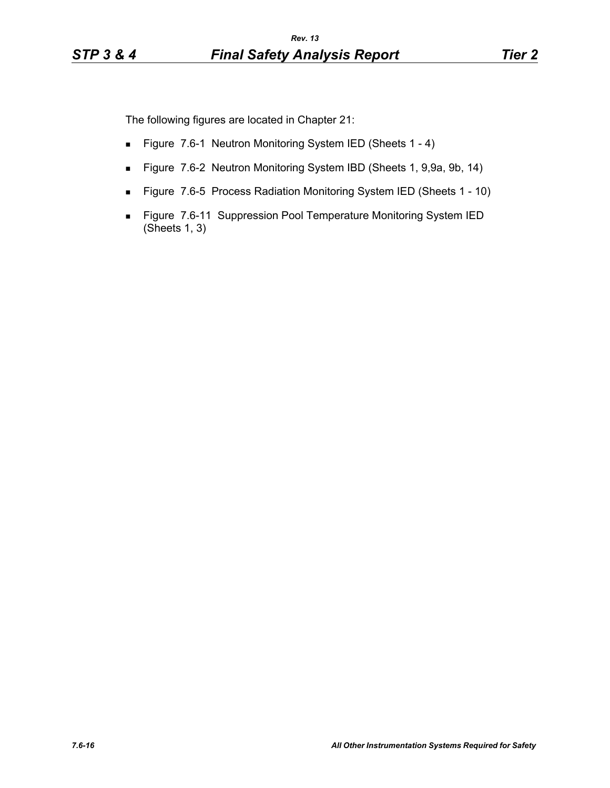The following figures are located in Chapter 21:

- Figure 7.6-1 Neutron Monitoring System IED (Sheets 1 4)
- Figure 7.6-2 Neutron Monitoring System IBD (Sheets 1, 9,9a, 9b, 14)
- Figure 7.6-5 Process Radiation Monitoring System IED (Sheets 1 10)
- **Figure 7.6-11 Suppression Pool Temperature Monitoring System IED** (Sheets 1, 3)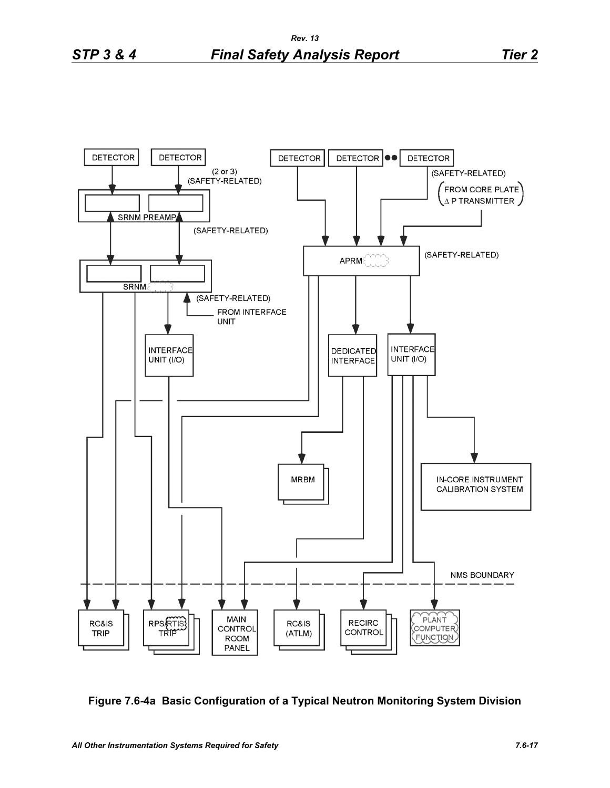

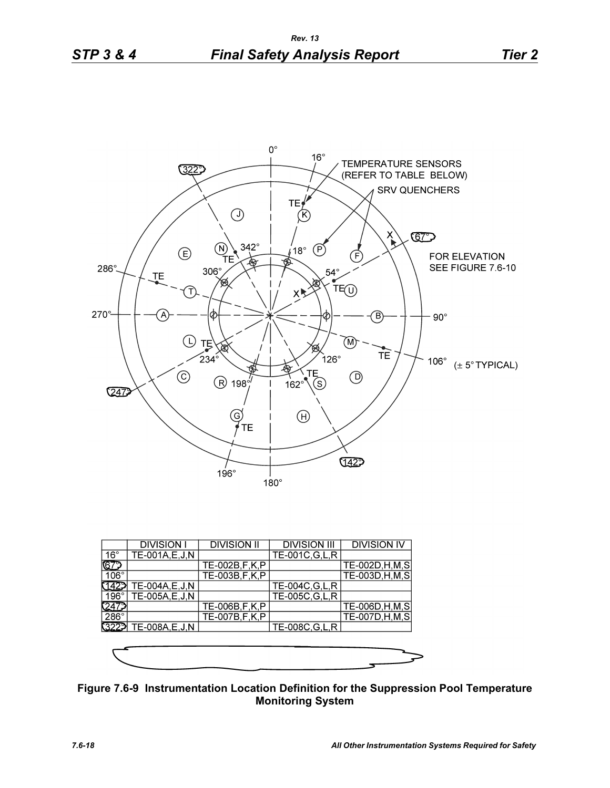

|              | <b>DIVISION I</b>     | <b>DIVISION II</b> | <b>DIVISION III</b> | <b>DIVISION IV</b>      |
|--------------|-----------------------|--------------------|---------------------|-------------------------|
| $16^{\circ}$ | $TE-001A, E, J, N$    |                    | TE-001C, G, L, R    |                         |
| IGZ          |                       | TE-002B,F,K,P      |                     | TE-002D, H, M, S        |
| $106^\circ$  |                       | TE-003B, F, K, P   |                     | TE-003D, H, M, S        |
|              | TE-004A, E, J, N      |                    | TE-004C, G, L, R    |                         |
| $196^\circ$  | TE-005A,E,J,N         |                    | TE-005C, G, L, R    |                         |
| <u> 247</u>  |                       | TE-006B, F, K, P   |                     | TE-006D, H, M, S        |
| $286^\circ$  |                       | TE-007B, F, K, P   |                     | <b>TE-007D, H, M, S</b> |
|              | 3222 TE-008A, E, J, N |                    | TE-008C, G, L, R    |                         |
|              |                       |                    |                     |                         |
|              |                       |                    |                     |                         |
|              |                       |                    |                     |                         |

**Figure 7.6-9 Instrumentation Location Definition for the Suppression Pool Temperature Monitoring System**